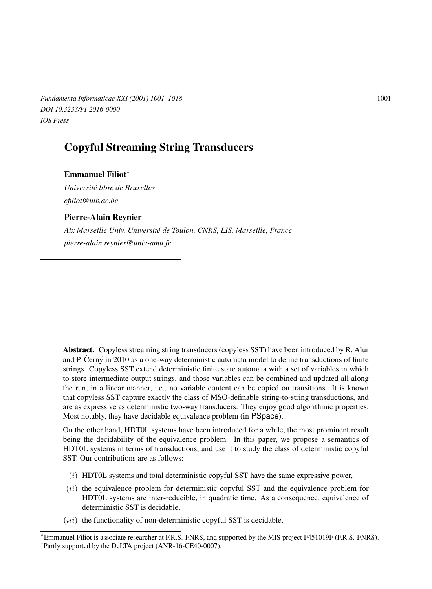*Fundamenta Informaticae XXI* (2001) 1001–1018 1001 *DOI 10.3233/FI-2016-0000 IOS Press*

# Copyful Streaming String Transducers

## Emmanuel Filiot<sup>∗</sup>

*Universite libre de Bruxelles ´ efiliot@ulb.ac.be*

## Pierre-Alain Reynier†

*Aix Marseille Univ, Universite de Toulon, CNRS, LIS, Marseille, France ´ pierre-alain.reynier@univ-amu.fr*

Abstract. Copyless streaming string transducers (copyless SST) have been introduced by R. Alur and P. Černý in 2010 as a one-way deterministic automata model to define transductions of finite strings. Copyless SST extend deterministic finite state automata with a set of variables in which to store intermediate output strings, and those variables can be combined and updated all along the run, in a linear manner, i.e., no variable content can be copied on transitions. It is known that copyless SST capture exactly the class of MSO-definable string-to-string transductions, and are as expressive as deterministic two-way transducers. They enjoy good algorithmic properties. Most notably, they have decidable equivalence problem (in PSpace).

On the other hand, HDT0L systems have been introduced for a while, the most prominent result being the decidability of the equivalence problem. In this paper, we propose a semantics of HDT0L systems in terms of transductions, and use it to study the class of deterministic copyful SST. Our contributions are as follows:

- $(i)$  HDT0L systems and total deterministic copyful SST have the same expressive power,
- $(iii)$  the equivalence problem for deterministic copyful SST and the equivalence problem for HDT0L systems are inter-reducible, in quadratic time. As a consequence, equivalence of deterministic SST is decidable,
- $(iii)$  the functionality of non-deterministic copyful SST is decidable,

<sup>∗</sup>Emmanuel Filiot is associate researcher at F.R.S.-FNRS, and supported by the MIS project F451019F (F.R.S.-FNRS). † Partly supported by the DeLTA project (ANR-16-CE40-0007).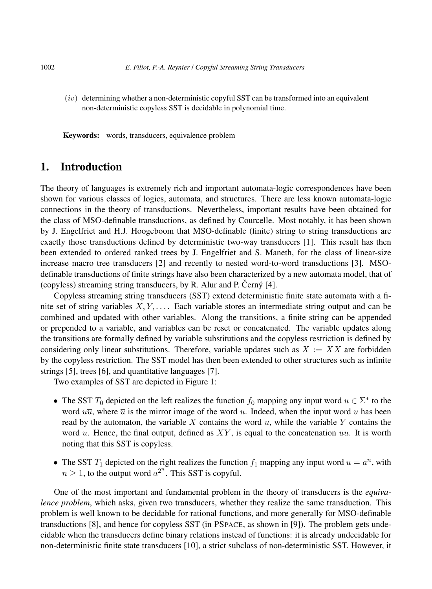$(iv)$  determining whether a non-deterministic copyful SST can be transformed into an equivalent non-deterministic copyless SST is decidable in polynomial time.

Keywords: words, transducers, equivalence problem

## 1. Introduction

The theory of languages is extremely rich and important automata-logic correspondences have been shown for various classes of logics, automata, and structures. There are less known automata-logic connections in the theory of transductions. Nevertheless, important results have been obtained for the class of MSO-definable transductions, as defined by Courcelle. Most notably, it has been shown by J. Engelfriet and H.J. Hoogeboom that MSO-definable (finite) string to string transductions are exactly those transductions defined by deterministic two-way transducers [1]. This result has then been extended to ordered ranked trees by J. Engelfriet and S. Maneth, for the class of linear-size increase macro tree transducers [2] and recently to nested word-to-word transductions [3]. MSOdefinable transductions of finite strings have also been characterized by a new automata model, that of (copyless) streaming string transducers, by R. Alur and P. Cerný  $[4]$ .

Copyless streaming string transducers (SST) extend deterministic finite state automata with a finite set of string variables  $X, Y, \ldots$ . Each variable stores an intermediate string output and can be combined and updated with other variables. Along the transitions, a finite string can be appended or prepended to a variable, and variables can be reset or concatenated. The variable updates along the transitions are formally defined by variable substitutions and the copyless restriction is defined by considering only linear substitutions. Therefore, variable updates such as  $X := XX$  are forbidden by the copyless restriction. The SST model has then been extended to other structures such as infinite strings [5], trees [6], and quantitative languages [7].

Two examples of SST are depicted in Figure 1:

- The SST  $T_0$  depicted on the left realizes the function  $f_0$  mapping any input word  $u \in \Sigma^*$  to the word  $u\overline{u}$ , where  $\overline{u}$  is the mirror image of the word u. Indeed, when the input word u has been read by the automaton, the variable X contains the word  $u$ , while the variable Y contains the word  $\overline{u}$ . Hence, the final output, defined as XY, is equal to the concatenation  $u\overline{u}$ . It is worth noting that this SST is copyless.
- The SST  $T_1$  depicted on the right realizes the function  $f_1$  mapping any input word  $u = a^n$ , with  $n \geq 1$ , to the output word  $a^{2^n}$ . This SST is copyful.

One of the most important and fundamental problem in the theory of transducers is the *equivalence problem*, which asks, given two transducers, whether they realize the same transduction. This problem is well known to be decidable for rational functions, and more generally for MSO-definable transductions [8], and hence for copyless SST (in PSPACE, as shown in [9]). The problem gets undecidable when the transducers define binary relations instead of functions: it is already undecidable for non-deterministic finite state transducers [10], a strict subclass of non-deterministic SST. However, it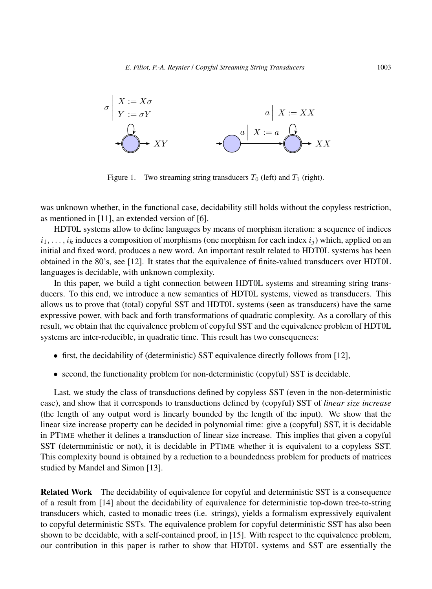

Figure 1. Two streaming string transducers  $T_0$  (left) and  $T_1$  (right).

was unknown whether, in the functional case, decidability still holds without the copyless restriction, as mentioned in [11], an extended version of [6].

HDT0L systems allow to define languages by means of morphism iteration: a sequence of indices  $i_1, \ldots, i_k$  induces a composition of morphisms (one morphism for each index  $i_j$ ) which, applied on an initial and fixed word, produces a new word. An important result related to HDT0L systems has been obtained in the 80's, see [12]. It states that the equivalence of finite-valued transducers over HDT0L languages is decidable, with unknown complexity.

In this paper, we build a tight connection between HDT0L systems and streaming string transducers. To this end, we introduce a new semantics of HDT0L systems, viewed as transducers. This allows us to prove that (total) copyful SST and HDT0L systems (seen as transducers) have the same expressive power, with back and forth transformations of quadratic complexity. As a corollary of this result, we obtain that the equivalence problem of copyful SST and the equivalence problem of HDT0L systems are inter-reducible, in quadratic time. This result has two consequences:

- first, the decidability of (deterministic) SST equivalence directly follows from [12],
- second, the functionality problem for non-deterministic (copyful) SST is decidable.

Last, we study the class of transductions defined by copyless SST (even in the non-deterministic case), and show that it corresponds to transductions defined by (copyful) SST of *linear size increase* (the length of any output word is linearly bounded by the length of the input). We show that the linear size increase property can be decided in polynomial time: give a (copyful) SST, it is decidable in PTIME whether it defines a transduction of linear size increase. This implies that given a copyful SST (determministic or not), it is decidable in PTIME whether it is equivalent to a copyless SST. This complexity bound is obtained by a reduction to a boundedness problem for products of matrices studied by Mandel and Simon [13].

Related Work The decidability of equivalence for copyful and deterministic SST is a consequence of a result from [14] about the decidability of equivalence for deterministic top-down tree-to-string transducers which, casted to monadic trees (i.e. strings), yields a formalism expressively equivalent to copyful deterministic SSTs. The equivalence problem for copyful deterministic SST has also been shown to be decidable, with a self-contained proof, in [15]. With respect to the equivalence problem, our contribution in this paper is rather to show that HDT0L systems and SST are essentially the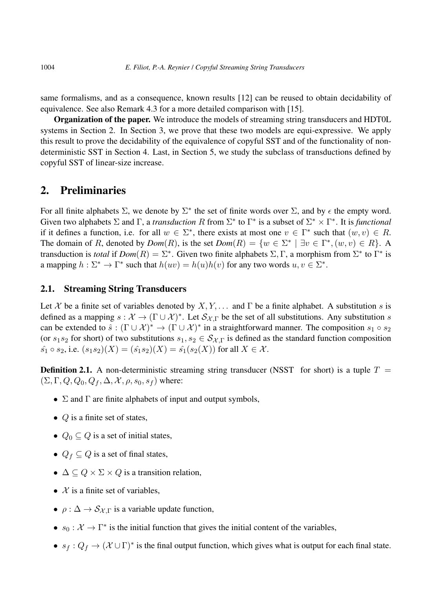same formalisms, and as a consequence, known results [12] can be reused to obtain decidability of equivalence. See also Remark 4.3 for a more detailed comparison with [15].

Organization of the paper. We introduce the models of streaming string transducers and HDT0L systems in Section 2. In Section 3, we prove that these two models are equi-expressive. We apply this result to prove the decidability of the equivalence of copyful SST and of the functionality of nondeterministic SST in Section 4. Last, in Section 5, we study the subclass of transductions defined by copyful SST of linear-size increase.

# 2. Preliminaries

For all finite alphabets  $\Sigma$ , we denote by  $\Sigma^*$  the set of finite words over  $\Sigma$ , and by  $\epsilon$  the empty word. Given two alphabets  $\Sigma$  and  $\Gamma$ , a *transduction* R from  $\Sigma^*$  to  $\Gamma^*$  is a subset of  $\Sigma^* \times \Gamma^*$ . It is *functional* if it defines a function, i.e. for all  $w \in \Sigma^*$ , there exists at most one  $v \in \Gamma^*$  such that  $(w, v) \in R$ . The domain of R, denoted by  $Dom(R)$ , is the set  $Dom(R) = \{w \in \Sigma^* \mid \exists v \in \Gamma^*, (w, v) \in R\}$ . A transduction is *total* if  $Dom(R) = \sum^*$ . Given two finite alphabets  $\Sigma$ , Γ, a morphism from  $\Sigma^*$  to  $\Gamma^*$  is a mapping  $h : \Sigma^* \to \Gamma^*$  such that  $h(uv) = h(u)h(v)$  for any two words  $u, v \in \Sigma^*$ .

## 2.1. Streaming String Transducers

Let X be a finite set of variables denoted by  $X, Y, \ldots$  and  $\Gamma$  be a finite alphabet. A substitution s is defined as a mapping  $s: \mathcal{X} \to (\Gamma \cup \mathcal{X})^*$ . Let  $\mathcal{S}_{\mathcal{X},\Gamma}$  be the set of all substitutions. Any substitution s can be extended to  $\hat{s}: (\Gamma \cup \mathcal{X})^* \to (\Gamma \cup \mathcal{X})^*$  in a straightforward manner. The composition  $s_1 \circ s_2$ (or  $s_1s_2$  for short) of two substitutions  $s_1, s_2 \in S_{\mathcal{X},\Gamma}$  is defined as the standard function composition  $\hat{s_1} \circ s_2$ , i.e.  $(s_1s_2)(X) = (\hat{s_1}s_2)(X) = \hat{s_1}(s_2(X))$  for all  $X \in \mathcal{X}$ .

**Definition 2.1.** A non-deterministic streaming string transducer (NSST for short) is a tuple  $T =$  $(\Sigma, \Gamma, Q, Q_0, Q_f, \Delta, \mathcal{X}, \rho, s_0, s_f)$  where:

- $\Sigma$  and  $\Gamma$  are finite alphabets of input and output symbols,
- $Q$  is a finite set of states,
- $Q_0 \subseteq Q$  is a set of initial states,
- $Q_f \subseteq Q$  is a set of final states,
- $\Delta \subseteq Q \times \Sigma \times Q$  is a transition relation,
- $\mathcal X$  is a finite set of variables.
- $\rho : \Delta \to S_{\mathcal{X} \Gamma}$  is a variable update function,
- $s_0: \mathcal{X} \to \Gamma^*$  is the initial function that gives the initial content of the variables,
- $s_f: Q_f \to (\mathcal{X} \cup \Gamma)^*$  is the final output function, which gives what is output for each final state.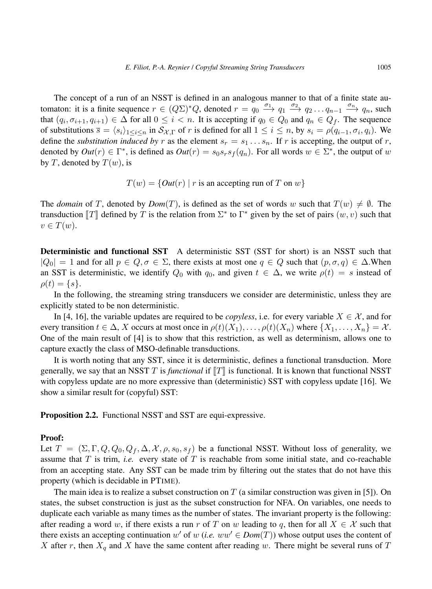The concept of a run of an NSST is defined in an analogous manner to that of a finite state automaton: it is a finite sequence  $r \in (Q\Sigma)^* Q$ , denoted  $r = q_0 \xrightarrow{\sigma_1} q_1 \xrightarrow{\sigma_2} q_2 \dots q_{n-1} \xrightarrow{\sigma_n} q_n$ , such that  $(q_i, \sigma_{i+1}, q_{i+1}) \in \Delta$  for all  $0 \leq i < n$ . It is accepting if  $q_0 \in Q_0$  and  $q_n \in Q_f$ . The sequence of substitutions  $\overline{s} = \langle s_i \rangle_{1 \le i \le n}$  in  $\mathcal{S}_{\mathcal{X},\Gamma}$  of r is defined for all  $1 \le i \le n$ , by  $s_i = \rho(q_{i-1}, \sigma_i, q_i)$ . We define the *substitution induced by* r as the element  $s_r = s_1 \dots s_n$ . If r is accepting, the output of r, denoted by  $Out(r) \in \Gamma^*$ , is defined as  $Out(r) = s_0 s_r s_f(q_n)$ . For all words  $w \in \Sigma^*$ , the output of w by T, denoted by  $T(w)$ , is

 $T(w) = \{Out(r) | r \text{ is an accepting run of } T \text{ on } w\}$ 

The *domain* of T, denoted by  $Dom(T)$ , is defined as the set of words w such that  $T(w) \neq \emptyset$ . The transduction  $\llbracket T \rrbracket$  defined by T is the relation from  $\Sigma^*$  to  $\Gamma^*$  given by the set of pairs  $(w, v)$  such that  $v \in T(w)$ .

Deterministic and functional SST A deterministic SST (SST for short) is an NSST such that  $|Q_0| = 1$  and for all  $p \in Q, \sigma \in \Sigma$ , there exists at most one  $q \in Q$  such that  $(p, \sigma, q) \in \Delta$ . When an SST is deterministic, we identify  $Q_0$  with  $q_0$ , and given  $t \in \Delta$ , we write  $\rho(t) = s$  instead of  $\rho(t) = \{s\}.$ 

In the following, the streaming string transducers we consider are deterministic, unless they are explicitly stated to be non deterministic.

In [4, 16], the variable updates are required to be *copyless*, i.e. for every variable  $X \in \mathcal{X}$ , and for every transition  $t \in \Delta$ , X occurs at most once in  $\rho(t)(X_1), \ldots, \rho(t)(X_n)$  where  $\{X_1, \ldots, X_n\} = \mathcal{X}$ . One of the main result of [4] is to show that this restriction, as well as determinism, allows one to capture exactly the class of MSO-definable transductions.

It is worth noting that any SST, since it is deterministic, defines a functional transduction. More generally, we say that an NSST T is *functional* if  $T\|$  is functional. It is known that functional NSST with copyless update are no more expressive than (deterministic) SST with copyless update [16]. We show a similar result for (copyful) SST:

Proposition 2.2. Functional NSST and SST are equi-expressive.

#### Proof:

Let  $T = (\Sigma, \Gamma, Q, Q_0, Q_f, \Delta, \mathcal{X}, \rho, s_0, s_f)$  be a functional NSST. Without loss of generality, we assume that T is trim, *i.e.* every state of T is reachable from some initial state, and co-reachable from an accepting state. Any SST can be made trim by filtering out the states that do not have this property (which is decidable in PTIME).

The main idea is to realize a subset construction on  $T$  (a similar construction was given in [5]). On states, the subset construction is just as the subset construction for NFA. On variables, one needs to duplicate each variable as many times as the number of states. The invariant property is the following: after reading a word w, if there exists a run r of T on w leading to q, then for all  $X \in \mathcal{X}$  such that there exists an accepting continuation w' of w (*i.e.*  $ww' \in Dom(T)$ ) whose output uses the content of X after r, then  $X_q$  and X have the same content after reading w. There might be several runs of T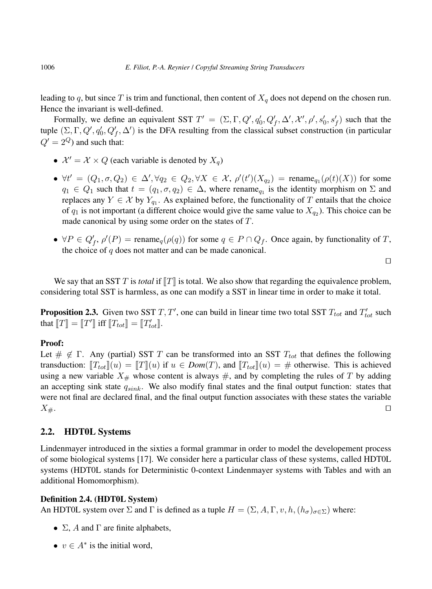leading to q, but since T is trim and functional, then content of  $X_q$  does not depend on the chosen run. Hence the invariant is well-defined.

Formally, we define an equivalent SST  $T' = (\Sigma, \Gamma, Q', q'_0, Q'_f, \Delta', \mathcal{X}', \rho', s'_0, s'_f)$  such that the tuple  $(\Sigma, \Gamma, Q', q'_0, Q'_f, \Delta')$  is the DFA resulting from the classical subset construction (in particular  $Q' = 2^Q$  and such that:

- $\mathcal{X}' = \mathcal{X} \times Q$  (each variable is denoted by  $X_q$ )
- $\forall t' = (Q_1, \sigma, Q_2) \in \Delta', \forall q_2 \in Q_2, \forall X \in \mathcal{X}, \rho'(t')(X_{q_2}) = \text{rename}_{q_1}(\rho(t)(X))$  for some  $q_1 \in Q_1$  such that  $t = (q_1, \sigma, q_2) \in \Delta$ , where rename<sub>q<sub>1</sub></sub> is the identity morphism on  $\Sigma$  and replaces any  $Y \in \mathcal{X}$  by  $Y_{q_1}$ . As explained before, the functionality of T entails that the choice of  $q_1$  is not important (a different choice would give the same value to  $X_{q_2}$ ). This choice can be made canonical by using some order on the states of T.
- $\forall P \in Q_f', \rho'(P) = \text{rename}_q(\rho(q))$  for some  $q \in P \cap Q_f$ . Once again, by functionality of T, the choice of  $q$  does not matter and can be made canonical.

 $\Box$ 

We say that an SST T is *total* if  $T\parallel T\parallel$  is total. We also show that regarding the equivalence problem, considering total SST is harmless, as one can modify a SST in linear time in order to make it total.

**Proposition 2.3.** Given two SST  $T, T'$ , one can build in linear time two total SST  $T_{tot}$  and  $T'_{tot}$  such that  $\llbracket T \rrbracket = \llbracket T' \rrbracket$  iff  $\llbracket T_{tot} \rrbracket = \llbracket T'_{tot} \rrbracket$ .

#### Proof:

Let  $\#\notin \Gamma$ . Any (partial) SST T can be transformed into an SST  $T_{tot}$  that defines the following transduction:  $T_{tot}||u| = \|T\|(u)$  if  $u \in Dom(T)$ , and  $T_{tot}||u| = \#$  otherwise. This is achieved using a new variable  $X_{\#}$  whose content is always  $\#$ , and by completing the rules of T by adding an accepting sink state  $q_{sink}$ . We also modify final states and the final output function: states that were not final are declared final, and the final output function associates with these states the variable  $X_{\#}$ .

### 2.2. HDT0L Systems

Lindenmayer introduced in the sixties a formal grammar in order to model the developement process of some biological systems [17]. We consider here a particular class of these systems, called HDT0L systems (HDT0L stands for Deterministic 0-context Lindenmayer systems with Tables and with an additional Homomorphism).

## Definition 2.4. (HDT0L System)

An HDT0L system over  $\Sigma$  and  $\Gamma$  is defined as a tuple  $H = (\Sigma, A, \Gamma, v, h, (h_{\sigma})_{\sigma \in \Sigma})$  where:

- $\Sigma$ , A and  $\Gamma$  are finite alphabets,
- $v \in A^*$  is the initial word,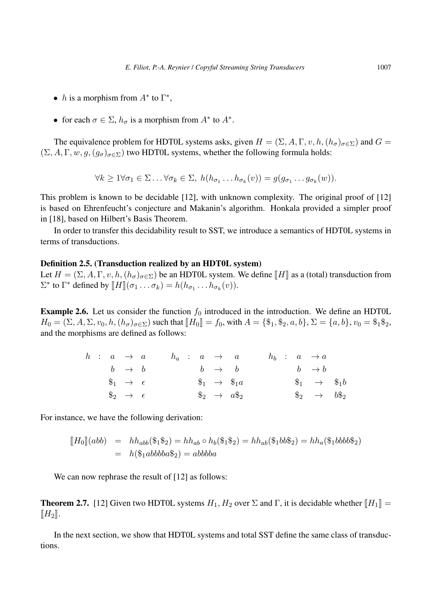- *h* is a morphism from  $A^*$  to  $\Gamma^*$ ,
- for each  $\sigma \in \Sigma$ ,  $h_{\sigma}$  is a morphism from  $A^*$  to  $A^*$ .

The equivalence problem for HDT0L systems asks, given  $H = (\Sigma, A, \Gamma, v, h, (h_{\sigma})_{\sigma \in \Sigma})$  and  $G =$  $(\Sigma, A, \Gamma, w, g, (g_{\sigma})_{\sigma \in \Sigma})$  two HDT0L systems, whether the following formula holds:

$$
\forall k \geq 1 \forall \sigma_1 \in \Sigma \dots \forall \sigma_k \in \Sigma, \ h(h_{\sigma_1} \dots h_{\sigma_k}(v)) = g(g_{\sigma_1} \dots g_{\sigma_k}(w)).
$$

This problem is known to be decidable [12], with unknown complexity. The original proof of [12] is based on Ehrenfeucht's conjecture and Makanin's algorithm. Honkala provided a simpler proof in [18], based on Hilbert's Basis Theorem.

In order to transfer this decidability result to SST, we introduce a semantics of HDT0L systems in terms of transductions.

### Definition 2.5. (Transduction realized by an HDT0L system)

Let  $H = (\Sigma, A, \Gamma, v, h, (h_{\sigma})_{\sigma \in \Sigma})$  be an HDT0L system. We define  $\Vert H \Vert$  as a (total) transduction from  $\Sigma^*$  to  $\Gamma^*$  defined by  $[\![H]\!](\sigma_1 \dots \sigma_k) = h(h_{\sigma_1} \dots h_{\sigma_k}(v)).$ 

**Example 2.6.** Let us consider the function  $f_0$  introduced in the introduction. We define an HDT0L  $H_0 = (\Sigma, A, \Sigma, v_0, h, (h_\sigma)_{\sigma \in \Sigma})$  such that  $[[H_0]] = f_0$ , with  $A = \{\$\_1, \$\_2, a, b\}, \Sigma = \{a, b\}, v_0 = \$\_1\$\_2$ , and the morphisms are defined as follows:

|  | $h : a \rightarrow a$        |  |  | $h_a$ : $a \rightarrow a$ |                           |  |  | $h_b$ : $a \rightarrow a$  |  |
|--|------------------------------|--|--|---------------------------|---------------------------|--|--|----------------------------|--|
|  | $b \rightarrow b$            |  |  | $b \rightarrow b$         |                           |  |  | $b \rightarrow b$          |  |
|  | $\$\_1 \rightarrow \epsilon$ |  |  |                           | $\$_1 \rightarrow \$_1a$  |  |  | $\$_1 \rightarrow \$_1b$   |  |
|  | $\$\_2 \rightarrow \epsilon$ |  |  |                           | $\$\_2 \rightarrow a\$_2$ |  |  | $\$\_2 \rightarrow b\$\_2$ |  |

For instance, we have the following derivation:

$$
[H_0](abb) = hh_{abb}(\$_1\$_2) = hh_{ab} \circ h_b(\$_1\$_2) = hh_{ab}(\$_1bb\$_2) = hh_a(\$_1bb\$_2)
$$
  
=  $h(\$_1abbbb\$_2) = abbbba$ 

We can now rephrase the result of [12] as follows:

**Theorem 2.7.** [12] Given two HDT0L systems  $H_1, H_2$  over  $\Sigma$  and  $\Gamma$ , it is decidable whether  $\|H_1\|$  =  $\llbracket H_2 \rrbracket.$ 

In the next section, we show that HDT0L systems and total SST define the same class of transductions.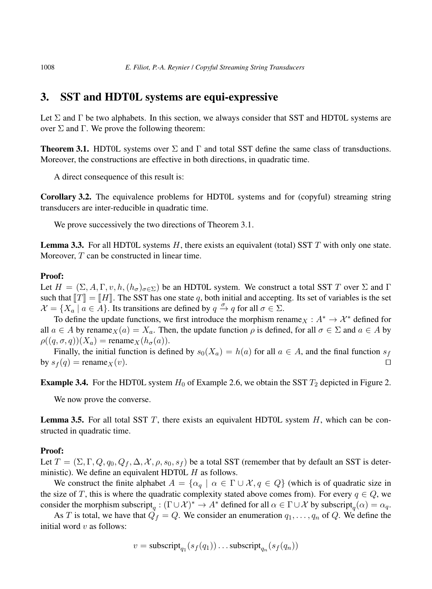# 3. SST and HDT0L systems are equi-expressive

Let  $\Sigma$  and  $\Gamma$  be two alphabets. In this section, we always consider that SST and HDT0L systems are over  $\Sigma$  and Γ. We prove the following theorem:

**Theorem 3.1.** HDT0L systems over  $\Sigma$  and  $\Gamma$  and total SST define the same class of transductions. Moreover, the constructions are effective in both directions, in quadratic time.

A direct consequence of this result is:

Corollary 3.2. The equivalence problems for HDT0L systems and for (copyful) streaming string transducers are inter-reducible in quadratic time.

We prove successively the two directions of Theorem 3.1.

**Lemma 3.3.** For all HDT0L systems  $H$ , there exists an equivalent (total) SST  $T$  with only one state. Moreover, T can be constructed in linear time.

### Proof:

Let  $H = (\Sigma, A, \Gamma, v, h, (h_{\sigma})_{\sigma \in \Sigma})$  be an HDT0L system. We construct a total SST T over  $\Sigma$  and  $\Gamma$ such that  $T\mathbb{T} = \mathbb{T}H\mathbb{T}$ . The SST has one state q, both initial and accepting. Its set of variables is the set  $\mathcal{X} = \{X_a \mid a \in A\}.$  Its transitions are defined by  $q \xrightarrow{\sigma} q$  for all  $\sigma \in \Sigma$ .

To define the update functions, we first introduce the morphism rename  $X : A^* \to \mathcal{X}^*$  defined for all  $a \in A$  by rename  $\chi(a) = X_a$ . Then, the update function  $\rho$  is defined, for all  $\sigma \in \Sigma$  and  $a \in A$  by  $\rho((q, \sigma, q))(X_a) = \text{rename}_X(h_\sigma(a)).$ 

Finally, the initial function is defined by  $s_0(X_a) = h(a)$  for all  $a \in A$ , and the final function  $s_f$ by  $s_f(q) = \text{rename}_X(v)$ .

**Example 3.4.** For the HDT0L system  $H_0$  of Example 2.6, we obtain the SST  $T_2$  depicted in Figure 2.

We now prove the converse.

**Lemma 3.5.** For all total SST  $T$ , there exists an equivalent HDT0L system  $H$ , which can be constructed in quadratic time.

### Proof:

Let  $T = (\Sigma, \Gamma, Q, q_0, Q_f, \Delta, \mathcal{X}, \rho, s_0, s_f)$  be a total SST (remember that by default an SST is deterministic). We define an equivalent HDT0L  $H$  as follows.

We construct the finite alphabet  $A = \{\alpha_q \mid \alpha \in \Gamma \cup \mathcal{X}, q \in Q\}$  (which is of quadratic size in the size of T, this is where the quadratic complexity stated above comes from). For every  $q \in Q$ , we consider the morphism subscript<sub>q</sub> :  $(\Gamma \cup \mathcal{X})^* \to A^*$  defined for all  $\alpha \in \Gamma \cup \mathcal{X}$  by subscript<sub>q</sub> $(\alpha) = \alpha_q$ .

As T is total, we have that  $\vec{Q}_f = Q$ . We consider an enumeration  $q_1, \ldots, q_n$  of Q. We define the initial word  $v$  as follows:

$$
v = \text{subscript}_{q_1}(s_f(q_1)) \dots \text{subscript}_{q_n}(s_f(q_n))
$$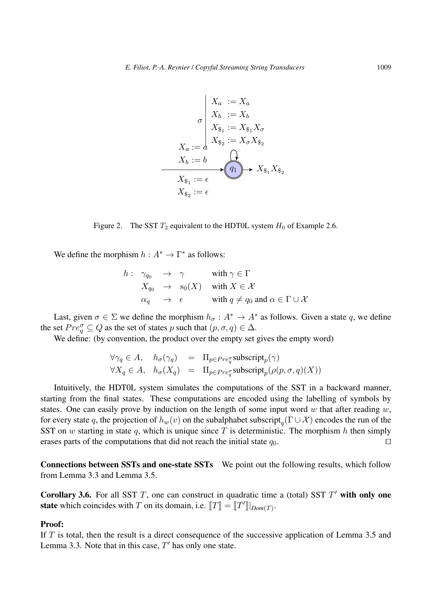$$
X_a := X_a
$$
  
\n
$$
\sigma \begin{vmatrix}\nX_a := X_a \\
X_b := X_b \\
X_{\$_1} := X_{\$_1} X_{\sigma} \\
X_{\$_2} := X_{\sigma} X_{\$_2} \\
X_b := b \\
X_{\$_1} := \epsilon\n\end{vmatrix}
$$
  
\n
$$
X_{\$_1} := \epsilon
$$
  
\n
$$
X_{\$_2} := \epsilon
$$
  
\n
$$
X_{\$_2} := \epsilon
$$

Figure 2. The SST  $T_2$  equivalent to the HDT0L system  $H_0$  of Example 2.6.

We define the morphism  $h: A^* \to \Gamma^*$  as follows:

$$
h: \begin{array}{rcl} \gamma_{q_0} & \to & \gamma & \text{with } \gamma \in \Gamma \\ X_{q_0} & \to & s_0(X) & \text{with } X \in \mathcal{X} \\ \alpha_q & \to & \epsilon & \text{with } q \neq q_0 \text{ and } \alpha \in \Gamma \cup \mathcal{X} \end{array}
$$

Last, given  $\sigma \in \Sigma$  we define the morphism  $h_{\sigma}: A^* \to A^*$  as follows. Given a state q, we define the set  $Pre^\sigma_q \subseteq Q$  as the set of states p such that  $(p, \sigma, q) \in \Delta$ .

We define: (by convention, the product over the empty set gives the empty word)

$$
\forall \gamma_q \in A, \quad h_{\sigma}(\gamma_q) = \Pi_{p \in Pre_q^{\sigma}} \text{subscript}_p(\gamma)
$$
  

$$
\forall X_q \in A, \quad h_{\sigma}(X_q) = \Pi_{p \in Pre_q^{\sigma}} \text{subscript}_p(\rho(p, \sigma, q)(X))
$$

Intuitively, the HDT0L system simulates the computations of the SST in a backward manner, starting from the final states. These computations are encoded using the labelling of symbols by states. One can easily prove by induction on the length of some input word w that after reading w, for every state q, the projection of  $h_w(v)$  on the subalphabet subscript $_q(\Gamma \cup \mathcal{X})$  encodes the run of the SST on w starting in state q, which is unique since T is deterministic. The morphism h then simply erases parts of the computations that did not reach the initial state  $q_0$ .

Connections between SSTs and one-state SSTs We point out the following results, which follow from Lemma 3.3 and Lemma 3.5.

Corollary 3.6. For all SST  $T$ , one can construct in quadratic time a (total) SST  $T'$  with only one **state** which coincides with T on its domain, i.e.  $[[T]] = [[T']]|_{Dom(T)}$ .

#### Proof:

If  $T$  is total, then the result is a direct consequence of the successive application of Lemma 3.5 and Lemma 3.3. Note that in this case,  $T'$  has only one state.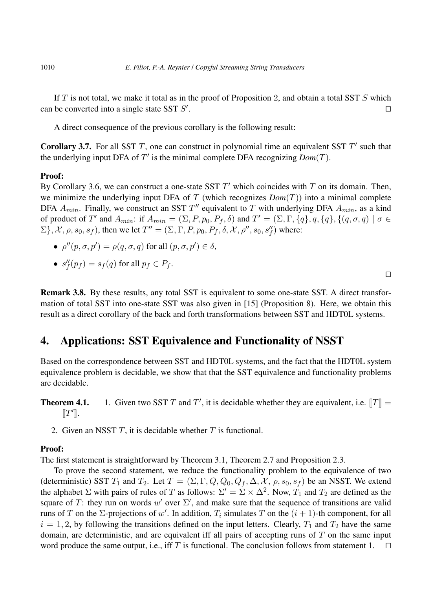If  $T$  is not total, we make it total as in the proof of Proposition 2, and obtain a total SST  $S$  which can be converted into a single state SST  $S'$ . The contract of the contract of the contract of the contract of the contract of the contract of the contract of the contract of the contract of the contract of the contract of the contract of the contract of the contract

A direct consequence of the previous corollary is the following result:

**Corollary 3.7.** For all SST  $T$ , one can construct in polynomial time an equivalent SST  $T'$  such that the underlying input DFA of  $T'$  is the minimal complete DFA recognizing  $Dom(T)$ .

### Proof:

By Corollary 3.6, we can construct a one-state SST  $T'$  which coincides with  $T$  on its domain. Then, we minimize the underlying input DFA of T (which recognizes  $Dom(T)$ ) into a minimal complete DFA  $A_{min}$ . Finally, we construct an SST  $T''$  equivalent to T with underlying DFA  $A_{min}$ , as a kind of product of T' and  $A_{min}$ : if  $A_{min} = (\Sigma, P, p_0, P_f, \delta)$  and  $T' = (\Sigma, \Gamma, \{q\}, q, \{q\}, \{(q, \sigma, q) \mid \sigma \in$  $\Sigma$ },  $\mathcal{X}, \rho, s_0, s_f$ , then we let  $T'' = (\Sigma, \Gamma, P, p_0, P_f, \delta, \mathcal{X}, \rho'', s_0, s''_f)$  where:

•  $\rho''(p, \sigma, p') = \rho(q, \sigma, q)$  for all  $(p, \sigma, p') \in \delta$ ,

• 
$$
s''_f(p_f) = s_f(q)
$$
 for all  $p_f \in P_f$ .

Remark 3.8. By these results, any total SST is equivalent to some one-state SST. A direct transformation of total SST into one-state SST was also given in [15] (Proposition 8). Here, we obtain this result as a direct corollary of the back and forth transformations between SST and HDT0L systems.

# 4. Applications: SST Equivalence and Functionality of NSST

Based on the correspondence between SST and HDT0L systems, and the fact that the HDT0L system equivalence problem is decidable, we show that that the SST equivalence and functionality problems are decidable.

**Theorem 4.1.** 1. Given two SST T and T', it is decidable whether they are equivalent, i.e.  $[[T]] =$  $\llbracket T^\prime \rrbracket.$ 

2. Given an NSST  $T$ , it is decidable whether  $T$  is functional.

## Proof:

The first statement is straightforward by Theorem 3.1, Theorem 2.7 and Proposition 2.3.

To prove the second statement, we reduce the functionality problem to the equivalence of two (deterministic) SST  $T_1$  and  $T_2$ . Let  $T = (\Sigma, \Gamma, Q, Q_0, Q_f, \Delta, \mathcal{X}, \rho, s_0, s_f)$  be an NSST. We extend the alphabet  $\Sigma$  with pairs of rules of T as follows:  $\Sigma' = \Sigma \times \Delta^2$ . Now,  $T_1$  and  $T_2$  are defined as the square of T: they run on words w' over  $\Sigma'$ , and make sure that the sequence of transitions are valid runs of T on the  $\Sigma$ -projections of w'. In addition,  $T_i$  simulates T on the  $(i + 1)$ -th component, for all  $i = 1, 2$ , by following the transitions defined on the input letters. Clearly,  $T_1$  and  $T_2$  have the same domain, are deterministic, and are equivalent iff all pairs of accepting runs of  $T$  on the same input word produce the same output, i.e., iff T is functional. The conclusion follows from statement 1.  $\square$ 

 $\Box$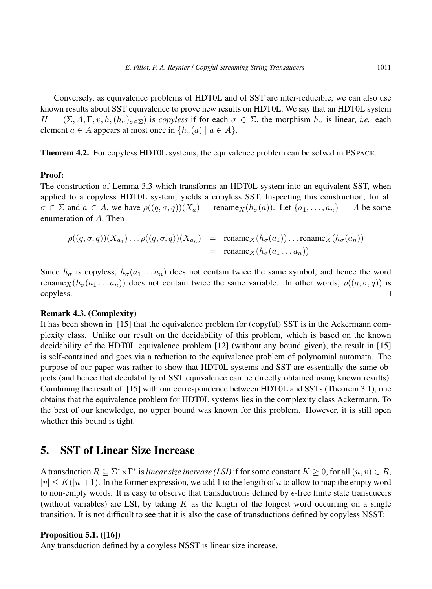Conversely, as equivalence problems of HDT0L and of SST are inter-reducible, we can also use known results about SST equivalence to prove new results on HDT0L. We say that an HDT0L system  $H = (\Sigma, A, \Gamma, v, h, (h_{\sigma})_{\sigma \in \Sigma})$  is *copyless* if for each  $\sigma \in \Sigma$ , the morphism  $h_{\sigma}$  is linear, *i.e.* each element  $a \in A$  appears at most once in  $\{h_{\sigma}(a) \mid a \in A\}.$ 

Theorem 4.2. For copyless HDT0L systems, the equivalence problem can be solved in PSPACE.

## Proof:

The construction of Lemma 3.3 which transforms an HDT0L system into an equivalent SST, when applied to a copyless HDT0L system, yields a copyless SST. Inspecting this construction, for all  $\sigma \in \Sigma$  and  $a \in A$ , we have  $\rho((q, \sigma, q))(X_a) = \text{rename}_X(h_\sigma(a))$ . Let  $\{a_1, \ldots, a_n\} = A$  be some enumeration of A. Then

$$
\rho((q,\sigma,q))(X_{a_1})\dots\rho((q,\sigma,q))(X_{a_n}) = \text{rename}_X(h_\sigma(a_1))\dots\text{rename}_X(h_\sigma(a_n))
$$
  
= \text{rename}\_X(h\_\sigma(a\_1\dots a\_n))

Since  $h_{\sigma}$  is copyless,  $h_{\sigma}(a_1 \ldots a_n)$  does not contain twice the same symbol, and hence the word rename $_X(h_{\sigma}(a_1 \ldots a_n))$  does not contain twice the same variable. In other words,  $\rho((q, \sigma, q))$  is  $\Box$ copyless.  $\Box$ 

## Remark 4.3. (Complexity)

It has been shown in [15] that the equivalence problem for (copyful) SST is in the Ackermann complexity class. Unlike our result on the decidability of this problem, which is based on the known decidability of the HDT0L equivalence problem [12] (without any bound given), the result in [15] is self-contained and goes via a reduction to the equivalence problem of polynomial automata. The purpose of our paper was rather to show that HDT0L systems and SST are essentially the same objects (and hence that decidability of SST equivalence can be directly obtained using known results). Combining the result of [15] with our correspondence between HDT0L and SSTs (Theorem 3.1), one obtains that the equivalence problem for HDT0L systems lies in the complexity class Ackermann. To the best of our knowledge, no upper bound was known for this problem. However, it is still open whether this bound is tight.

## 5. SST of Linear Size Increase

A transduction  $R \subseteq \Sigma^* \times \Gamma^*$  is *linear size increase (LSI)* if for some constant  $K \geq 0$ , for all  $(u, v) \in R$ ,  $|v| \le K(|u|+1)$ . In the former expression, we add 1 to the length of u to allow to map the empty word to non-empty words. It is easy to observe that transductions defined by  $\epsilon$ -free finite state transducers (without variables) are LSI, by taking  $K$  as the length of the longest word occurring on a single transition. It is not difficult to see that it is also the case of transductions defined by copyless NSST:

## Proposition 5.1. ([16])

Any transduction defined by a copyless NSST is linear size increase.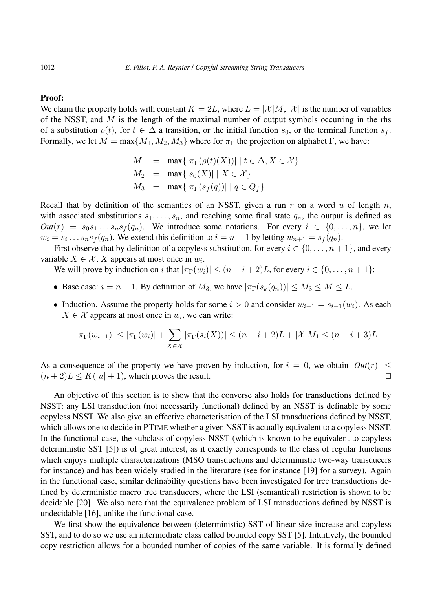### Proof:

We claim the property holds with constant  $K = 2L$ , where  $L = |\mathcal{X}|M$ ,  $|\mathcal{X}|$  is the number of variables of the NSST, and  $M$  is the length of the maximal number of output symbols occurring in the rhs of a substitution  $\rho(t)$ , for  $t \in \Delta$  a transition, or the initial function  $s_0$ , or the terminal function  $s_f$ . Formally, we let  $M = \max\{M_1, M_2, M_3\}$  where for  $\pi_{\Gamma}$  the projection on alphabet  $\Gamma$ , we have:

$$
M_1 = \max\{|\pi_{\Gamma}(\rho(t)(X))| \mid t \in \Delta, X \in \mathcal{X}\}
$$
  
\n
$$
M_2 = \max\{|s_0(X)| \mid X \in \mathcal{X}\}
$$
  
\n
$$
M_3 = \max\{|\pi_{\Gamma}(s_f(q))| \mid q \in Q_f\}
$$

Recall that by definition of the semantics of an NSST, given a run r on a word u of length n, with associated substitutions  $s_1, \ldots, s_n$ , and reaching some final state  $q_n$ , the output is defined as  $Out(r) = s_0 s_1 \dots s_n s_f(q_n)$ . We introduce some notations. For every  $i \in \{0, \dots, n\}$ , we let  $w_i = s_i \dots s_n s_f(q_n)$ . We extend this definition to  $i = n + 1$  by letting  $w_{n+1} = s_f(q_n)$ .

First observe that by definition of a copyless substitution, for every  $i \in \{0, \ldots, n+1\}$ , and every variable  $X \in \mathcal{X}$ , X appears at most once in  $w_i$ .

We will prove by induction on i that  $|\pi_{\Gamma}(w_i)| \leq (n - i + 2)L$ , for every  $i \in \{0, ..., n + 1\}$ :

- Base case:  $i = n + 1$ . By definition of  $M_3$ , we have  $|\pi_{\Gamma}(s_k(q_n))| \leq M_3 \leq M \leq L$ .
- Induction. Assume the property holds for some  $i > 0$  and consider  $w_{i-1} = s_{i-1}(w_i)$ . As each  $X \in \mathcal{X}$  appears at most once in  $w_i$ , we can write:

$$
|\pi_{\Gamma}(w_{i-1})| \leq |\pi_{\Gamma}(w_i)| + \sum_{X \in \mathcal{X}} |\pi_{\Gamma}(s_i(X))| \leq (n - i + 2)L + |\mathcal{X}| M_1 \leq (n - i + 3)L
$$

As a consequence of the property we have proven by induction, for  $i = 0$ , we obtain  $|Out(r)| \leq$  $(n+2)L \le K(|u|+1)$ , which proves the result.

An objective of this section is to show that the converse also holds for transductions defined by NSST: any LSI transduction (not necessarily functional) defined by an NSST is definable by some copyless NSST. We also give an effective characterisation of the LSI transductions defined by NSST, which allows one to decide in PTIME whether a given NSST is actually equivalent to a copyless NSST. In the functional case, the subclass of copyless NSST (which is known to be equivalent to copyless deterministic SST [5]) is of great interest, as it exactly corresponds to the class of regular functions which enjoys multiple characterizations (MSO transductions and deterministic two-way transducers for instance) and has been widely studied in the literature (see for instance [19] for a survey). Again in the functional case, similar definability questions have been investigated for tree transductions defined by deterministic macro tree transducers, where the LSI (semantical) restriction is shown to be decidable [20]. We also note that the equivalence problem of LSI transductions defined by NSST is undecidable [16], unlike the functional case.

We first show the equivalence between (deterministic) SST of linear size increase and copyless SST, and to do so we use an intermediate class called bounded copy SST [5]. Intuitively, the bounded copy restriction allows for a bounded number of copies of the same variable. It is formally defined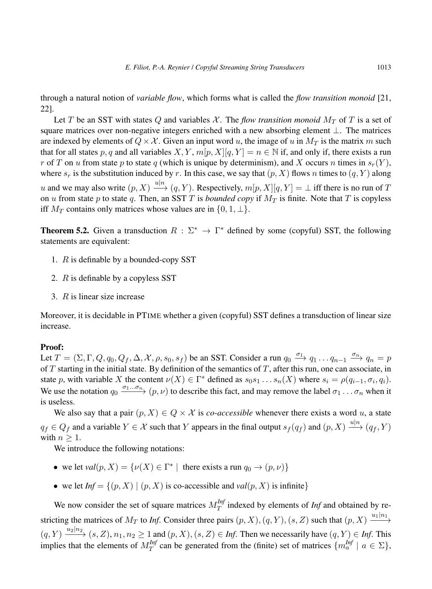through a natural notion of *variable flow*, which forms what is called the *flow transition monoid* [21, 22].

Let T be an SST with states Q and variables  $\mathcal{X}$ . The *flow transition monoid*  $M_T$  of T is a set of square matrices over non-negative integers enriched with a new absorbing element ⊥. The matrices are indexed by elements of  $Q \times \mathcal{X}$ . Given an input word u, the image of u in  $M_T$  is the matrix m such that for all states p, q and all variables  $X, Y, m[p, X][q, Y] = n \in \mathbb{N}$  if, and only if, there exists a run r of T on u from state p to state q (which is unique by determinism), and X occurs n times in  $s_r(Y)$ , where  $s_r$  is the substitution induced by r. In this case, we say that  $(p, X)$  flows n times to  $(q, Y)$  along u and we may also write  $(p, X) \stackrel{u|n}{\longrightarrow} (q, Y)$ . Respectively,  $m[p, X][q, Y] = \bot$  iff there is no run of T on u from state p to state q. Then, an SST T is *bounded copy* if  $M_T$  is finite. Note that T is copyless iff  $M_T$  contains only matrices whose values are in  $\{0, 1, \perp\}.$ 

**Theorem 5.2.** Given a transduction  $R : \Sigma^* \to \Gamma^*$  defined by some (copyful) SST, the following statements are equivalent:

- 1.  $R$  is definable by a bounded-copy SST
- 2. R is definable by a copyless SST
- 3. R is linear size increase

Moreover, it is decidable in PTIME whether a given (copyful) SST defines a transduction of linear size increase.

#### Proof:

Let  $T = (\Sigma, \Gamma, Q, q_0, Q_f, \Delta, \mathcal{X}, \rho, s_0, s_f)$  be an SST. Consider a run  $q_0 \stackrel{\sigma_1}{\longrightarrow} q_1 \dots q_{n-1} \stackrel{\sigma_n}{\longrightarrow} q_n = p$ of  $T$  starting in the initial state. By definition of the semantics of  $T$ , after this run, one can associate, in state p, with variable X the content  $\nu(X) \in \Gamma^*$  defined as  $s_0 s_1 \dots s_n(X)$  where  $s_i = \rho(q_{i-1}, \sigma_i, q_i)$ . We use the notation  $q_0 \xrightarrow{\sigma_1...\sigma_n} (p,\nu)$  to describe this fact, and may remove the label  $\sigma_1...\sigma_n$  when it is useless.

We also say that a pair  $(p, X) \in Q \times \mathcal{X}$  is *co-accessible* whenever there exists a word u, a state  $q_f \in Q_f$  and a variable  $Y \in \mathcal{X}$  such that Y appears in the final output  $s_f(q_f)$  and  $(p, X) \xrightarrow{u|n} (q_f, Y)$ with  $n > 1$ .

We introduce the following notations:

- we let  $val(p, X) = \{v(X) \in \Gamma^* \mid \text{there exists a run } q_0 \to (p, v) \}$
- we let  $Inf = \{(p, X) | (p, X)$  is co-accessible and  $val(p, X)$  is infinite}

We now consider the set of square matrices  $M_T^{Inj}$  $T_T^{I\eta}$  indexed by elements of *Inf* and obtained by restricting the matrices of  $M_T$  to *Inf*. Consider three pairs  $(p, X), (q, Y), (s, Z)$  such that  $(p, X) \xrightarrow{u_1|n_1}$  $(q, Y) \xrightarrow{u_2|n_2} (s, Z), n_1, n_2 \ge 1$  and  $(p, X), (s, Z) \in \text{Inf.}$  Then we necessarily have  $(q, Y) \in \text{Inf.}$  This implies that the elements of  $M_T^{Inf}$  $T^{Inf}_{T}$  can be generated from the (finite) set of matrices  $\{m_a^{Inf} \mid a \in \Sigma\},$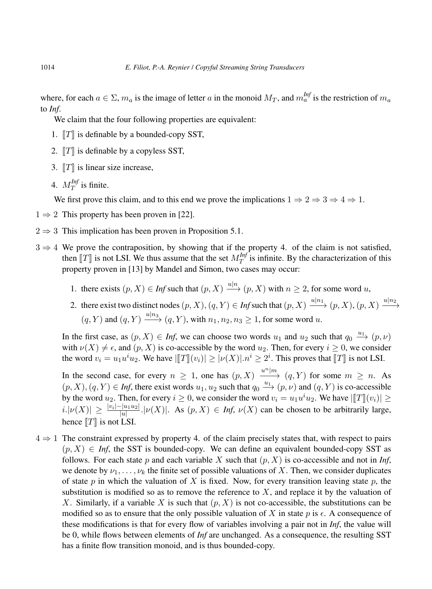where, for each  $a \in \Sigma$ ,  $m_a$  is the image of letter a in the monoid  $M_T$ , and  $m_a^{Inf}$  is the restriction of  $m_a$ to *Inf*.

We claim that the four following properties are equivalent:

- 1.  $T\|T\|$  is definable by a bounded-copy SST,
- 2.  $\llbracket T \rrbracket$  is definable by a copyless SST,
- 3.  $T\|$  is linear size increase,
- 4.  $M_T^{Int}$  $T^{(n)}$  is finite.

We first prove this claim, and to this end we prove the implications  $1 \Rightarrow 2 \Rightarrow 3 \Rightarrow 4 \Rightarrow 1$ .

- $1 \Rightarrow 2$  This property has been proven in [22].
- $2 \Rightarrow 3$  This implication has been proven in Proposition 5.1.
- $3 \Rightarrow 4$  We prove the contraposition, by showing that if the property 4. of the claim is not satisfied, then  $[[T]]$  is not LSI. We thus assume that the set  $M_T^{Inf}$ <br>proporty proven in [13] by Mondal and Simon, two ca  $T<sup>T<sub>T</sub></sup>$  is infinite. By the characterization of this property proven in [13] by Mandel and Simon, two cases may occur:
	- 1. there exists  $(p, X) \in Inf$  such that  $(p, X) \xrightarrow{u|n} (p, X)$  with  $n \ge 2$ , for some word u,
	- 2. there exist two distinct nodes  $(p, X), (q, Y) \in Inf$  such that  $(p, X) \xrightarrow{u|n_1} (p, X), (p, X) \xrightarrow{u|n_2} (p, X)$  $(q, Y)$  and  $(q, Y) \xrightarrow{u|n_3} (q, Y)$ , with  $n_1, n_2, n_3 \ge 1$ , for some word u.

In the first case, as  $(p, X) \in Inf$ , we can choose two words  $u_1$  and  $u_2$  such that  $q_0 \stackrel{u_1}{\longrightarrow} (p, \nu)$ with  $\nu(X) \neq \epsilon$ , and  $(p, X)$  is co-accessible by the word  $u_2$ . Then, for every  $i \geq 0$ , we consider the word  $v_i = u_1 u^i u_2$ . We have  $\left| [T](v_i) \right| \geq |\nu(X)| \cdot n^i \geq 2^i$ . This proves that  $\llbracket T \rrbracket$  is not LSI.

In the second case, for every  $n \geq 1$ , one has  $(p, X) \xrightarrow{u^n|m} (q, Y)$  for some  $m \geq n$ . As  $(p, X), (q, Y) \in Inf$ , there exist words  $u_1, u_2$  such that  $q_0 \xrightarrow{u_1} (p, \nu)$  and  $(q, Y)$  is co-accessible by the word  $u_2$ . Then, for every  $i \ge 0$ , we consider the word  $v_i = u_1 u^i u_2$ . We have  $\|T\|(v_i)\| \ge$  $i.|\nu(X)| \ge \frac{|v_i| - |u_1 u_2|}{|u|}$ .  $|\nu(X)|$ . As  $(p, X) \in \textit{Inf}, \nu(X)$  can be chosen to be arbitrarily large, hence  $T\|$  is not LSI.

 $4 \Rightarrow 1$  The constraint expressed by property 4. of the claim precisely states that, with respect to pairs  $(p, X) \in Inf$ , the SST is bounded-copy. We can define an equivalent bounded-copy SST as follows. For each state p and each variable X such that  $(p, X)$  is co-accessible and not in *Inf*, we denote by  $\nu_1, \ldots, \nu_k$  the finite set of possible valuations of X. Then, we consider duplicates of state p in which the valuation of X is fixed. Now, for every transition leaving state p, the substitution is modified so as to remove the reference to  $X$ , and replace it by the valuation of X. Similarly, if a variable X is such that  $(p, X)$  is not co-accessible, the substitutions can be modified so as to ensure that the only possible valuation of X in state p is  $\epsilon$ . A consequence of these modifications is that for every flow of variables involving a pair not in *Inf*, the value will be 0, while flows between elements of *Inf* are unchanged. As a consequence, the resulting SST has a finite flow transition monoid, and is thus bounded-copy.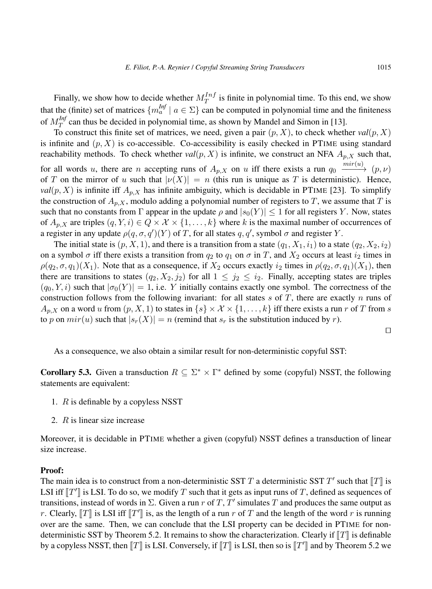Finally, we show how to decide whether  $M_T^{Inf}$  $T^{Int}_{T}$  is finite in polynomial time. To this end, we show that the (finite) set of matrices  ${m_a^{Inf}} \mid a \in \Sigma$ } can be computed in polynomial time and the finiteness of  $M_T^{Int}$  $T_T^{(m)}$  can thus be decided in polynomial time, as shown by Mandel and Simon in [13].

To construct this finite set of matrices, we need, given a pair  $(p, X)$ , to check whether  $val(p, X)$ is infinite and  $(p, X)$  is co-accessible. Co-accessibility is easily checked in PTIME using standard reachability methods. To check whether  $val(p, X)$  is infinite, we construct an NFA  $A_{p,X}$  such that, for all words u, there are n accepting runs of  $A_{p,X}$  on u iff there exists a run  $q_0 \xrightarrow{mir(u)} (p,\nu)$ of T on the mirror of u such that  $|v(X)| = n$  (this run is unique as T is deterministic). Hence,  $val(p, X)$  is infinite iff  $A_{p,X}$  has infinite ambiguity, which is decidable in PTIME [23]. To simplify the construction of  $A_{p,X}$ , modulo adding a polynomial number of registers to T, we assume that T is such that no constants from  $\Gamma$  appear in the update  $\rho$  and  $|s_0(Y)| \leq 1$  for all registers Y. Now, states of  $A_{p,X}$  are triples  $(q, Y, i) \in Q \times X \times \{1, \ldots, k\}$  where k is the maximal number of occurrences of a register in any update  $\rho(q, \sigma, q')$  (Y) of T, for all states q, q', symbol  $\sigma$  and register Y.

The initial state is  $(p, X, 1)$ , and there is a transition from a state  $(q_1, X_1, i_1)$  to a state  $(q_2, X_2, i_2)$ on a symbol  $\sigma$  iff there exists a transition from  $q_2$  to  $q_1$  on  $\sigma$  in T, and  $X_2$  occurs at least  $i_2$  times in  $\rho(q_2, \sigma, q_1)(X_1)$ . Note that as a consequence, if  $X_2$  occurs exactly  $i_2$  times in  $\rho(q_2, \sigma, q_1)(X_1)$ , then there are transitions to states  $(q_2, X_2, j_2)$  for all  $1 \leq j_2 \leq i_2$ . Finally, accepting states are triples  $(q_0, Y, i)$  such that  $|\sigma_0(Y)| = 1$ , i.e. Y initially contains exactly one symbol. The correctness of the construction follows from the following invariant: for all states s of T, there are exactly n runs of  $A_{n,X}$  on a word u from  $(p, X, 1)$  to states in  $\{s\} \times \mathcal{X} \times \{1, \ldots, k\}$  iff there exists a run r of T from s to p on  $mir(u)$  such that  $|s_r(X)| = n$  (remind that  $s_r$  is the substitution induced by r).

 $\Box$ 

As a consequence, we also obtain a similar result for non-deterministic copyful SST:

**Corollary 5.3.** Given a transduction  $R \subseteq \Sigma^* \times \Gamma^*$  defined by some (copyful) NSST, the following statements are equivalent:

- 1. R is definable by a copyless NSST
- 2. R is linear size increase

Moreover, it is decidable in PTIME whether a given (copyful) NSST defines a transduction of linear size increase.

#### Proof:

The main idea is to construct from a non-deterministic SST T a deterministic SST T' such that  $[[T]]$  is<br>LSL if  $[[T]]$  is LSL To do so, we modify T such that it gate as input was of T, defined as sequences of LSI iff  $\llbracket T' \rrbracket$  is LSI. To do so, we modify T such that it gets as input runs of T, defined as sequences of<br>transitions, instead of words in  $\Sigma$ . Given a run x of T, T' simulates T and produces the same output as transitions, instead of words in  $\Sigma$ . Given a run r of T, T' simulates T and produces the same output as r. Clearly,  $[[T]]$  is LSI iff  $[[T']]$  is, as the length of a run r of T and the length of the word r is running<br>over are the same. Then we see conclude that the LSI preparty can be desided in PTMF for nonover are the same. Then, we can conclude that the LSI property can be decided in PTIME for nondeterministic SST by Theorem 5.2. It remains to show the characterization. Clearly if  $\llbracket T \rrbracket$  is definable by a copyless NSST, then  $[[T]]$  is LSI. Conversely, if  $[[T]]$  is LSI, then so is  $[[T']]$  and by Theorem 5.2 we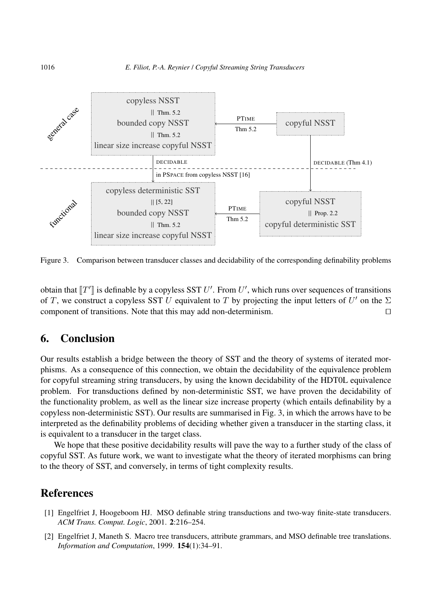

Figure 3. Comparison between transducer classes and decidability of the corresponding definability problems

obtain that  $[[T']]$  is definable by a copyless SST U'. From U', which runs over sequences of transitions of  $T$  we construct a copyless SST U conjugant to  $T$  by projecting the input letters of  $U'$  on the N of T, we construct a copyless SST U equivalent to T by projecting the input letters of  $U'$  on the  $\Sigma$ component of transitions. Note that this may add non-determinism.  $\Box$ 

# 6. Conclusion

Our results establish a bridge between the theory of SST and the theory of systems of iterated morphisms. As a consequence of this connection, we obtain the decidability of the equivalence problem for copyful streaming string transducers, by using the known decidability of the HDT0L equivalence problem. For transductions defined by non-deterministic SST, we have proven the decidability of the functionality problem, as well as the linear size increase property (which entails definability by a copyless non-deterministic SST). Our results are summarised in Fig. 3, in which the arrows have to be interpreted as the definability problems of deciding whether given a transducer in the starting class, it is equivalent to a transducer in the target class.

We hope that these positive decidability results will pave the way to a further study of the class of copyful SST. As future work, we want to investigate what the theory of iterated morphisms can bring to the theory of SST, and conversely, in terms of tight complexity results.

## References

- [1] Engelfriet J, Hoogeboom HJ. MSO definable string transductions and two-way finite-state transducers. *ACM Trans. Comput. Logic*, 2001. 2:216–254.
- [2] Engelfriet J, Maneth S. Macro tree transducers, attribute grammars, and MSO definable tree translations. *Information and Computation*, 1999. 154(1):34–91.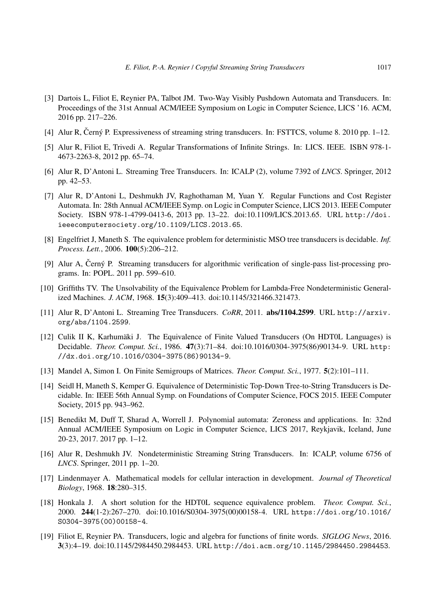- [3] Dartois L, Filiot E, Reynier PA, Talbot JM. Two-Way Visibly Pushdown Automata and Transducers. In: Proceedings of the 31st Annual ACM/IEEE Symposium on Logic in Computer Science, LICS '16. ACM, 2016 pp. 217–226.
- [4] Alur R, Černý P. Expressiveness of streaming string transducers. In: FSTTCS, volume 8. 2010 pp.  $1-12$ .
- [5] Alur R, Filiot E, Trivedi A. Regular Transformations of Infinite Strings. In: LICS. IEEE. ISBN 978-1- 4673-2263-8, 2012 pp. 65–74.
- [6] Alur R, D'Antoni L. Streaming Tree Transducers. In: ICALP (2), volume 7392 of *LNCS*. Springer, 2012 pp. 42–53.
- [7] Alur R, D'Antoni L, Deshmukh JV, Raghothaman M, Yuan Y. Regular Functions and Cost Register Automata. In: 28th Annual ACM/IEEE Symp. on Logic in Computer Science, LICS 2013. IEEE Computer Society. ISBN 978-1-4799-0413-6, 2013 pp. 13–22. doi:10.1109/LICS.2013.65. URL http://doi. ieeecomputersociety.org/10.1109/LICS.2013.65.
- [8] Engelfriet J, Maneth S. The equivalence problem for deterministic MSO tree transducers is decidable. *Inf. Process. Lett.*, 2006. 100(5):206–212.
- [9] Alur A, Černý P. Streaming transducers for algorithmic verification of single-pass list-processing programs. In: POPL. 2011 pp. 599–610.
- [10] Griffiths TV. The Unsolvability of the Equivalence Problem for Lambda-Free Nondeterministic Generalized Machines. *J. ACM*, 1968. 15(3):409–413. doi:10.1145/321466.321473.
- [11] Alur R, D'Antoni L. Streaming Tree Transducers. *CoRR*, 2011. abs/1104.2599. URL http://arxiv. org/abs/1104.2599.
- [12] Culik II K, Karhumäki J. The Equivalence of Finite Valued Transducers (On HDT0L Languages) is Decidable. *Theor. Comput. Sci.*, 1986. 47(3):71–84. doi:10.1016/0304-3975(86)90134-9. URL http: //dx.doi.org/10.1016/0304-3975(86)90134-9.
- [13] Mandel A, Simon I. On Finite Semigroups of Matrices. *Theor. Comput. Sci.*, 1977. 5(2):101–111.
- [14] Seidl H, Maneth S, Kemper G. Equivalence of Deterministic Top-Down Tree-to-String Transducers is Decidable. In: IEEE 56th Annual Symp. on Foundations of Computer Science, FOCS 2015. IEEE Computer Society, 2015 pp. 943–962.
- [15] Benedikt M, Duff T, Sharad A, Worrell J. Polynomial automata: Zeroness and applications. In: 32nd Annual ACM/IEEE Symposium on Logic in Computer Science, LICS 2017, Reykjavik, Iceland, June 20-23, 2017. 2017 pp. 1–12.
- [16] Alur R, Deshmukh JV. Nondeterministic Streaming String Transducers. In: ICALP, volume 6756 of *LNCS*. Springer, 2011 pp. 1–20.
- [17] Lindenmayer A. Mathematical models for cellular interaction in development. *Journal of Theoretical Biology*, 1968. 18:280–315.
- [18] Honkala J. A short solution for the HDT0L sequence equivalence problem. *Theor. Comput. Sci.*, 2000. 244(1-2):267–270. doi:10.1016/S0304-3975(00)00158-4. URL https://doi.org/10.1016/ S0304-3975(00)00158-4.
- [19] Filiot E, Reynier PA. Transducers, logic and algebra for functions of finite words. *SIGLOG News*, 2016. 3(3):4–19. doi:10.1145/2984450.2984453. URL http://doi.acm.org/10.1145/2984450.2984453.